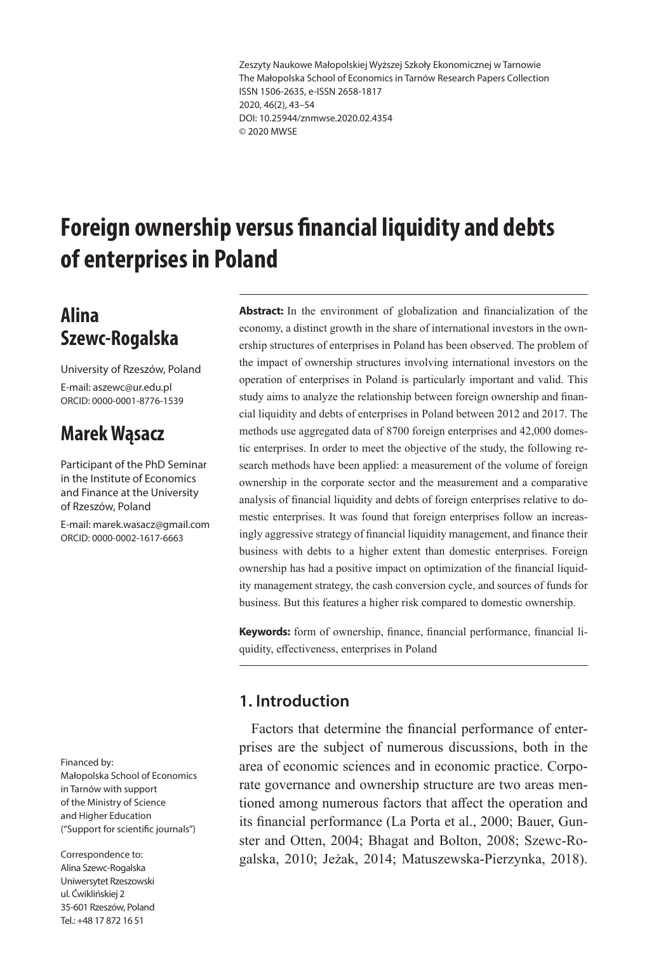Zeszyty Naukowe Małopolskiej Wyższej Szkoły Ekonomicznej w Tarnowie The Małopolska School of Economics in Tarnów Research Papers Collection ISSN 1506-2635, e-ISSN 2658-1817 2020, 46(2), 43–54 DOI: 10.25944/znmwse.2020.02.4354 © 2020 MWSE

# **Foreign ownership versus financial liquidity and debts of enterprises in Poland**

### **Alina Szewc-Rogalska**

University of Rzeszów, Poland E-mail: aszewc@ur.edu.pl ORCID: 0000-0001-8776-1539

## **Marek Wąsacz**

Participant of the PhD Seminar in the Institute of Economics and Finance at the University of Rzeszów, Poland

E-mail: marek.wasacz@gmail.com ORCID: 0000-0002-1617-6663

#### Financed by:

Małopolska School of Economics in Tarnów with support of the Ministry of Science and Higher Education ("Support for scientific journals")

Correspondence to: Alina Szewc-Rogalska Uniwersytet Rzeszowski ul. Ćwiklińskiej 2 35-601 Rzeszów, Poland Tel.: +48 17 872 16 51

**Abstract:** In the environment of globalization and financialization of the economy, a distinct growth in the share of international investors in the ownership structures of enterprises in Poland has been observed. The problem of the impact of ownership structures involving international investors on the operation of enterprises in Poland is particularly important and valid. This study aims to analyze the relationship between foreign ownership and financial liquidity and debts of enterprises in Poland between 2012 and 2017. The methods use aggregated data of 8700 foreign enterprises and 42,000 domestic enterprises. In order to meet the objective of the study, the following research methods have been applied: a measurement of the volume of foreign ownership in the corporate sector and the measurement and a comparative analysis of financial liquidity and debts of foreign enterprises relative to domestic enterprises. It was found that foreign enterprises follow an increasingly aggressive strategy of financial liquidity management, and finance their business with debts to a higher extent than domestic enterprises. Foreign ownership has had a positive impact on optimization of the financial liquidity management strategy, the cash conversion cycle, and sources of funds for business. But this features a higher risk compared to domestic ownership.

**Keywords:** form of ownership, finance, financial performance, financial liquidity, effectiveness, enterprises in Poland

### **1. Introduction**

Factors that determine the financial performance of enterprises are the subject of numerous discussions, both in the area of economic sciences and in economic practice. Corporate governance and ownership structure are two areas mentioned among numerous factors that affect the operation and its financial performance (La Porta et al., 2000; Bauer, Gunster and Otten, 2004; Bhagat and Bolton, 2008; Szewc-Rogalska, 2010; Jeżak, 2014; Matuszewska-Pierzynka, 2018).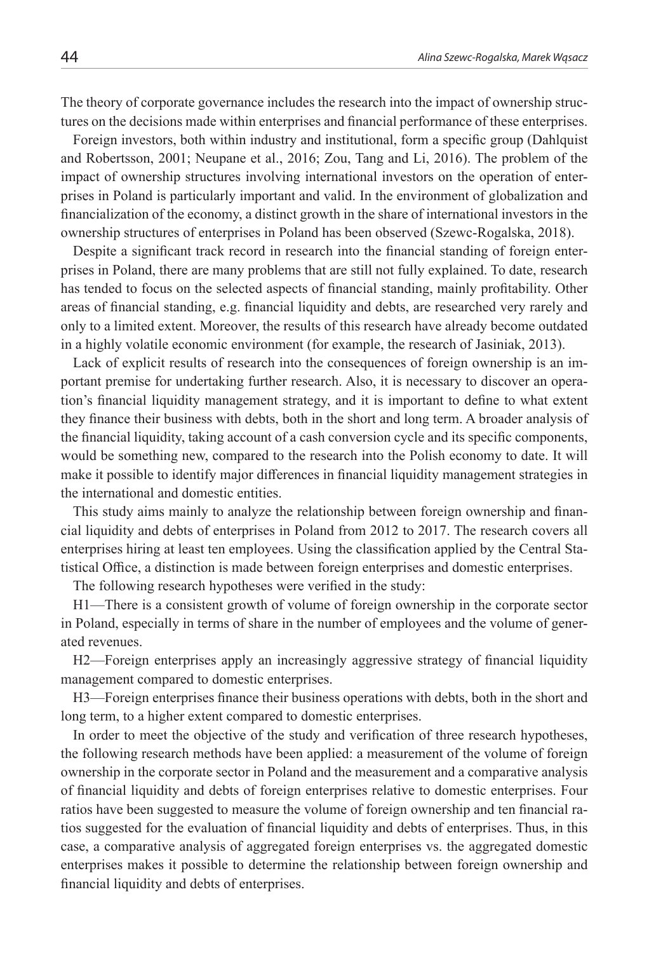The theory of corporate governance includes the research into the impact of ownership structures on the decisions made within enterprises and financial performance of these enterprises.

Foreign investors, both within industry and institutional, form a specific group (Dahlquist and Robertsson, 2001; Neupane et al., 2016; Zou, Tang and Li, 2016). The problem of the impact of ownership structures involving international investors on the operation of enterprises in Poland is particularly important and valid. In the environment of globalization and financialization of the economy, a distinct growth in the share of international investors in the ownership structures of enterprises in Poland has been observed (Szewc-Rogalska, 2018).

Despite a significant track record in research into the financial standing of foreign enterprises in Poland, there are many problems that are still not fully explained. To date, research has tended to focus on the selected aspects of financial standing, mainly profitability. Other areas of financial standing, e.g. financial liquidity and debts, are researched very rarely and only to a limited extent. Moreover, the results of this research have already become outdated in a highly volatile economic environment (for example, the research of Jasiniak, 2013).

Lack of explicit results of research into the consequences of foreign ownership is an important premise for undertaking further research. Also, it is necessary to discover an operation's financial liquidity management strategy, and it is important to define to what extent they finance their business with debts, both in the short and long term. A broader analysis of the financial liquidity, taking account of a cash conversion cycle and its specific components, would be something new, compared to the research into the Polish economy to date. It will make it possible to identify major differences in financial liquidity management strategies in the international and domestic entities.

This study aims mainly to analyze the relationship between foreign ownership and financial liquidity and debts of enterprises in Poland from 2012 to 2017. The research covers all enterprises hiring at least ten employees. Using the classification applied by the Central Statistical Office, a distinction is made between foreign enterprises and domestic enterprises.

The following research hypotheses were verified in the study:

H1—There is a consistent growth of volume of foreign ownership in the corporate sector in Poland, especially in terms of share in the number of employees and the volume of generated revenues.

H2—Foreign enterprises apply an increasingly aggressive strategy of financial liquidity management compared to domestic enterprises.

H3—Foreign enterprises finance their business operations with debts, both in the short and long term, to a higher extent compared to domestic enterprises.

In order to meet the objective of the study and verification of three research hypotheses, the following research methods have been applied: a measurement of the volume of foreign ownership in the corporate sector in Poland and the measurement and a comparative analysis of financial liquidity and debts of foreign enterprises relative to domestic enterprises. Four ratios have been suggested to measure the volume of foreign ownership and ten financial ratios suggested for the evaluation of financial liquidity and debts of enterprises. Thus, in this case, a comparative analysis of aggregated foreign enterprises vs. the aggregated domestic enterprises makes it possible to determine the relationship between foreign ownership and financial liquidity and debts of enterprises.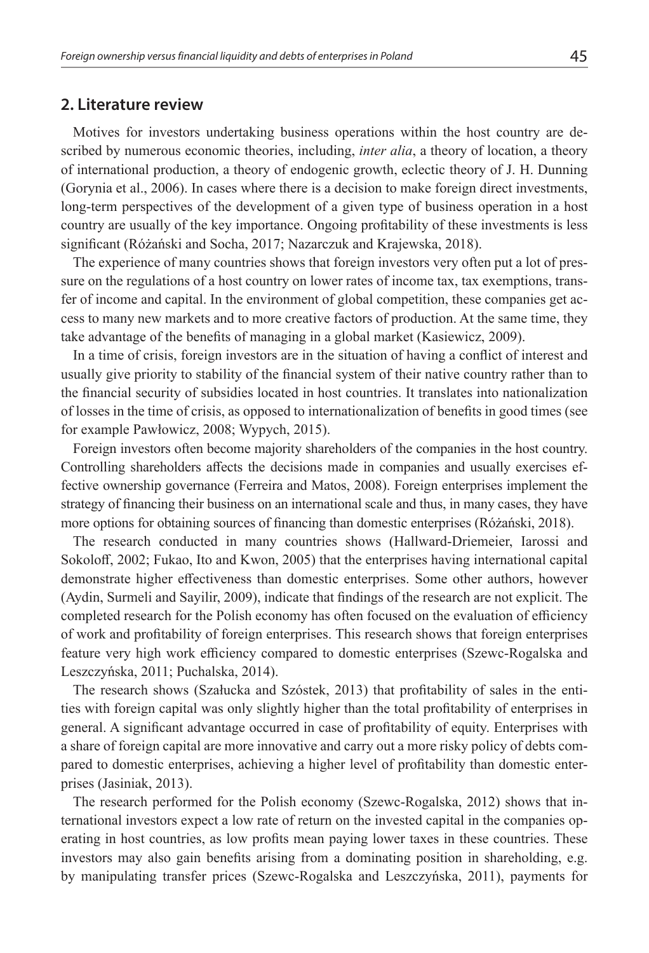#### **2. Literature review**

Motives for investors undertaking business operations within the host country are described by numerous economic theories, including, *inter alia*, a theory of location, a theory of international production, a theory of endogenic growth, eclectic theory of J. H. Dunning (Gorynia et al., 2006). In cases where there is a decision to make foreign direct investments, long-term perspectives of the development of a given type of business operation in a host country are usually of the key importance. Ongoing profitability of these investments is less significant (Różański and Socha, 2017; Nazarczuk and Krajewska, 2018).

The experience of many countries shows that foreign investors very often put a lot of pressure on the regulations of a host country on lower rates of income tax, tax exemptions, transfer of income and capital. In the environment of global competition, these companies get access to many new markets and to more creative factors of production. At the same time, they take advantage of the benefits of managing in a global market (Kasiewicz, 2009).

In a time of crisis, foreign investors are in the situation of having a conflict of interest and usually give priority to stability of the financial system of their native country rather than to the financial security of subsidies located in host countries. It translates into nationalization of losses in the time of crisis, as opposed to internationalization of benefits in good times (see for example Pawłowicz, 2008; Wypych, 2015).

Foreign investors often become majority shareholders of the companies in the host country. Controlling shareholders affects the decisions made in companies and usually exercises effective ownership governance (Ferreira and Matos, 2008). Foreign enterprises implement the strategy of financing their business on an international scale and thus, in many cases, they have more options for obtaining sources of financing than domestic enterprises (Różański, 2018).

The research conducted in many countries shows (Hallward-Driemeier, Iarossi and Sokoloff, 2002; Fukao, Ito and Kwon, 2005) that the enterprises having international capital demonstrate higher effectiveness than domestic enterprises. Some other authors, however (Aydin, Surmeli and Sayilir, 2009), indicate that findings of the research are not explicit. The completed research for the Polish economy has often focused on the evaluation of efficiency of work and profitability of foreign enterprises. This research shows that foreign enterprises feature very high work efficiency compared to domestic enterprises (Szewc-Rogalska and Leszczyńska, 2011; Puchalska, 2014).

The research shows (Szałucka and Szóstek, 2013) that profitability of sales in the entities with foreign capital was only slightly higher than the total profitability of enterprises in general. A significant advantage occurred in case of profitability of equity. Enterprises with a share of foreign capital are more innovative and carry out a more risky policy of debts compared to domestic enterprises, achieving a higher level of profitability than domestic enterprises (Jasiniak, 2013).

The research performed for the Polish economy (Szewc-Rogalska, 2012) shows that international investors expect a low rate of return on the invested capital in the companies operating in host countries, as low profits mean paying lower taxes in these countries. These investors may also gain benefits arising from a dominating position in shareholding, e.g. by manipulating transfer prices (Szewc-Rogalska and Leszczyńska, 2011), payments for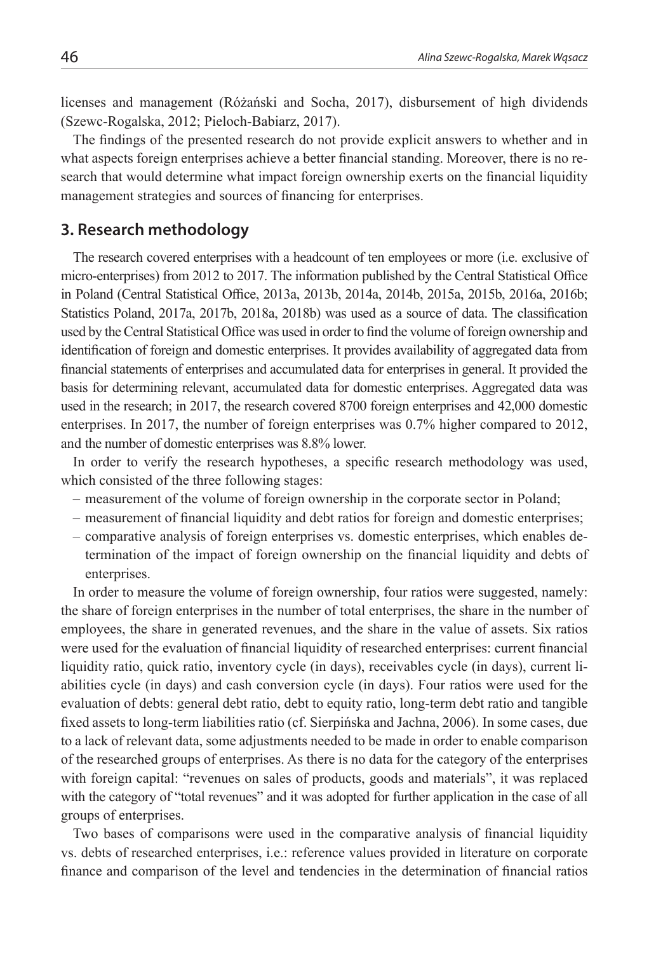licenses and management (Różański and Socha, 2017), disbursement of high dividends (Szewc-Rogalska, 2012; Pieloch-Babiarz, 2017).

The findings of the presented research do not provide explicit answers to whether and in what aspects foreign enterprises achieve a better financial standing. Moreover, there is no research that would determine what impact foreign ownership exerts on the financial liquidity management strategies and sources of financing for enterprises.

#### **3. Research methodology**

The research covered enterprises with a headcount of ten employees or more (i.e. exclusive of micro-enterprises) from 2012 to 2017. The information published by the Central Statistical Office in Poland (Central Statistical Office, 2013a, 2013b, 2014a, 2014b, 2015a, 2015b, 2016a, 2016b; Statistics Poland, 2017a, 2017b, 2018a, 2018b) was used as a source of data. The classification used by the Central Statistical Office was used in order to find the volume of foreign ownership and identification of foreign and domestic enterprises. It provides availability of aggregated data from financial statements of enterprises and accumulated data for enterprises in general. It provided the basis for determining relevant, accumulated data for domestic enterprises. Aggregated data was used in the research; in 2017, the research covered 8700 foreign enterprises and 42,000 domestic enterprises. In 2017, the number of foreign enterprises was 0.7% higher compared to 2012, and the number of domestic enterprises was 8.8% lower.

In order to verify the research hypotheses, a specific research methodology was used, which consisted of the three following stages:

- measurement of the volume of foreign ownership in the corporate sector in Poland;
- measurement of financial liquidity and debt ratios for foreign and domestic enterprises;
- comparative analysis of foreign enterprises vs. domestic enterprises, which enables determination of the impact of foreign ownership on the financial liquidity and debts of enterprises.

In order to measure the volume of foreign ownership, four ratios were suggested, namely: the share of foreign enterprises in the number of total enterprises, the share in the number of employees, the share in generated revenues, and the share in the value of assets. Six ratios were used for the evaluation of financial liquidity of researched enterprises: current financial liquidity ratio, quick ratio, inventory cycle (in days), receivables cycle (in days), current liabilities cycle (in days) and cash conversion cycle (in days). Four ratios were used for the evaluation of debts: general debt ratio, debt to equity ratio, long-term debt ratio and tangible fixed assets to long-term liabilities ratio (cf. Sierpińska and Jachna, 2006). In some cases, due to a lack of relevant data, some adjustments needed to be made in order to enable comparison of the researched groups of enterprises. As there is no data for the category of the enterprises with foreign capital: "revenues on sales of products, goods and materials", it was replaced with the category of "total revenues" and it was adopted for further application in the case of all groups of enterprises.

Two bases of comparisons were used in the comparative analysis of financial liquidity vs. debts of researched enterprises, i.e.: reference values provided in literature on corporate finance and comparison of the level and tendencies in the determination of financial ratios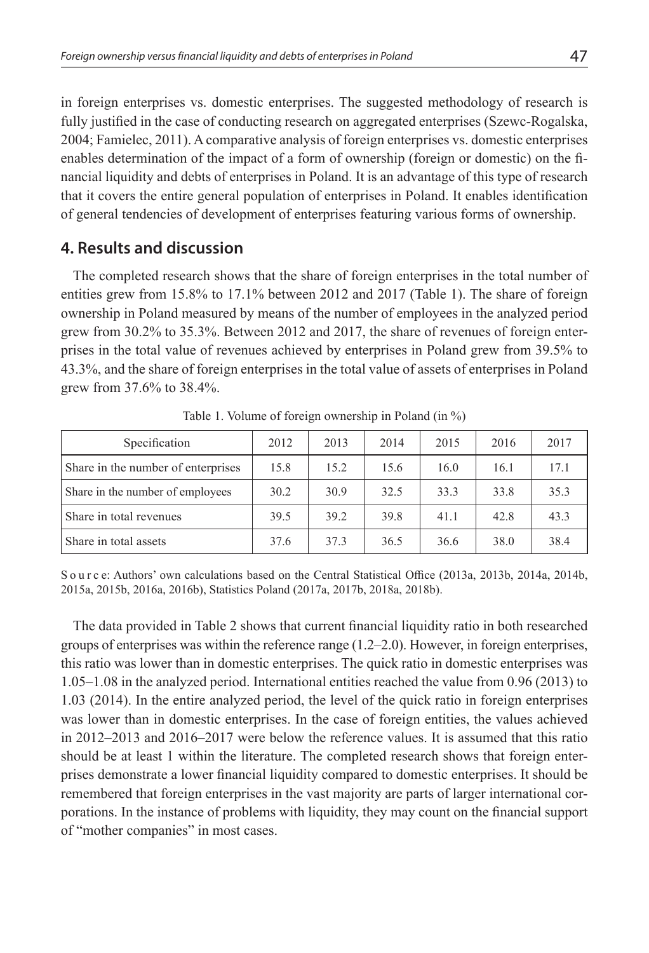in foreign enterprises vs. domestic enterprises. The suggested methodology of research is fully justified in the case of conducting research on aggregated enterprises (Szewc-Rogalska, 2004; Famielec, 2011). A comparative analysis of foreign enterprises vs. domestic enterprises enables determination of the impact of a form of ownership (foreign or domestic) on the financial liquidity and debts of enterprises in Poland. It is an advantage of this type of research that it covers the entire general population of enterprises in Poland. It enables identification of general tendencies of development of enterprises featuring various forms of ownership.

#### **4. Results and discussion**

The completed research shows that the share of foreign enterprises in the total number of entities grew from 15.8% to 17.1% between 2012 and 2017 (Table 1). The share of foreign ownership in Poland measured by means of the number of employees in the analyzed period grew from 30.2% to 35.3%. Between 2012 and 2017, the share of revenues of foreign enterprises in the total value of revenues achieved by enterprises in Poland grew from 39.5% to 43.3%, and the share of foreign enterprises in the total value of assets of enterprises in Poland grew from 37.6% to 38.4%.

| Specification                      | 2012 | 2013 | 2014 | 2015 | 2016 | 2017 |
|------------------------------------|------|------|------|------|------|------|
| Share in the number of enterprises | 15.8 | 15.2 | 15.6 | 16.0 | 16.1 | 17.1 |
| Share in the number of employees   | 30.2 | 30.9 | 32.5 | 33.3 | 33.8 | 35.3 |
| Share in total revenues            | 39.5 | 39.2 | 39.8 | 41.1 | 42.8 | 43.3 |
| Share in total assets              | 37.6 | 37.3 | 36.5 | 36.6 | 38.0 | 38.4 |

Table 1. Volume of foreign ownership in Poland (in %)

S o u r c e: Authors' own calculations based on the Central Statistical Office (2013a, 2013b, 2014a, 2014b, 2015a, 2015b, 2016a, 2016b), Statistics Poland (2017a, 2017b, 2018a, 2018b).

The data provided in Table 2 shows that current financial liquidity ratio in both researched groups of enterprises was within the reference range (1.2–2.0). However, in foreign enterprises, this ratio was lower than in domestic enterprises. The quick ratio in domestic enterprises was 1.05–1.08 in the analyzed period. International entities reached the value from 0.96 (2013) to 1.03 (2014). In the entire analyzed period, the level of the quick ratio in foreign enterprises was lower than in domestic enterprises. In the case of foreign entities, the values achieved in 2012–2013 and 2016–2017 were below the reference values. It is assumed that this ratio should be at least 1 within the literature. The completed research shows that foreign enterprises demonstrate a lower financial liquidity compared to domestic enterprises. It should be remembered that foreign enterprises in the vast majority are parts of larger international corporations. In the instance of problems with liquidity, they may count on the financial support of "mother companies" in most cases.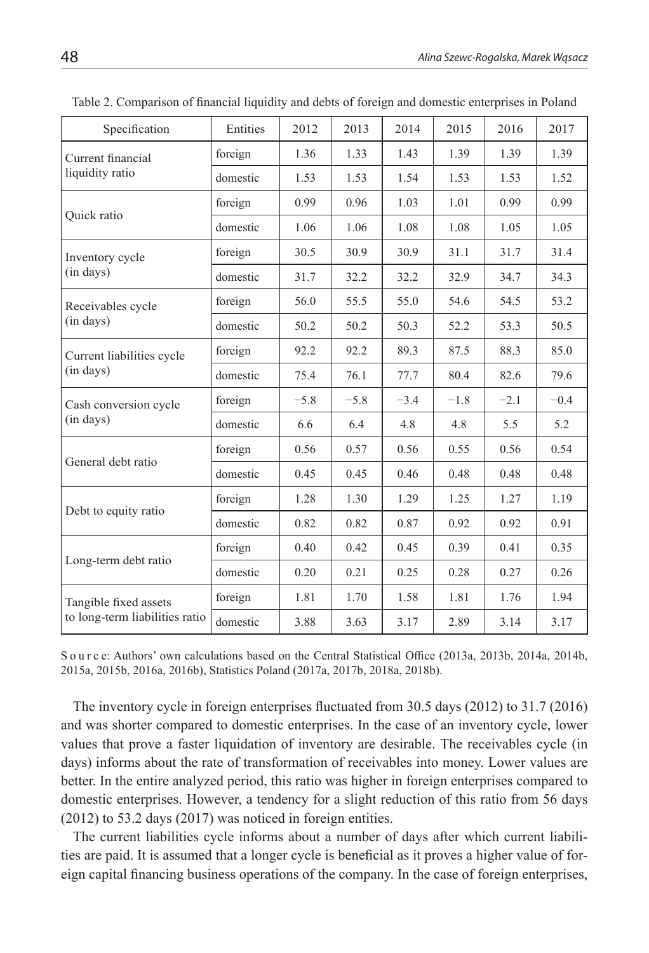| Specification                                           | Entities | 2012   | 2013   | 2014   | 2015   | 2016   | 2017   |
|---------------------------------------------------------|----------|--------|--------|--------|--------|--------|--------|
| Current financial<br>liquidity ratio                    | foreign  | 1.36   | 1.33   | 1.43   | 1.39   | 1.39   | 1.39   |
|                                                         | domestic | 1.53   | 1.53   | 1.54   | 1.53   | 1.53   | 1.52   |
| Quick ratio                                             | foreign  | 0.99   | 0.96   | 1.03   | 1.01   | 0.99   | 0.99   |
|                                                         | domestic | 1.06   | 1.06   | 1.08   | 1.08   | 1.05   | 1.05   |
| Inventory cycle<br>$(in$ days $)$                       | foreign  | 30.5   | 30.9   | 30.9   | 31.1   | 31.7   | 31.4   |
|                                                         | domestic | 31.7   | 32.2   | 32.2   | 32.9   | 34.7   | 34.3   |
| Receivables cycle<br>$(in$ days $)$                     | foreign  | 56.0   | 55.5   | 55.0   | 54.6   | 54.5   | 53.2   |
|                                                         | domestic | 50.2   | 50.2   | 50.3   | 52.2   | 53.3   | 50.5   |
| Current liabilities cycle<br>$(in$ days)                | foreign  | 92.2   | 92.2   | 89.3   | 87.5   | 88.3   | 85.0   |
|                                                         | domestic | 75.4   | 76.1   | 77.7   | 80.4   | 82.6   | 79.6   |
| Cash conversion cycle<br>$(in$ days $)$                 | foreign  | $-5.8$ | $-5.8$ | $-3.4$ | $-1.8$ | $-2.1$ | $-0.4$ |
|                                                         | domestic | 6.6    | 6.4    | 4.8    | 4.8    | 5.5    | 5.2    |
| General debt ratio                                      | foreign  | 0.56   | 0.57   | 0.56   | 0.55   | 0.56   | 0.54   |
|                                                         | domestic | 0.45   | 0.45   | 0.46   | 0.48   | 0.48   | 0.48   |
| Debt to equity ratio                                    | foreign  | 1.28   | 1.30   | 1.29   | 1.25   | 1.27   | 1.19   |
|                                                         | domestic | 0.82   | 0.82   | 0.87   | 0.92   | 0.92   | 0.91   |
| Long-term debt ratio                                    | foreign  | 0.40   | 0.42   | 0.45   | 0.39   | 0.41   | 0.35   |
|                                                         | domestic | 0.20   | 0.21   | 0.25   | 0.28   | 0.27   | 0.26   |
| Tangible fixed assets<br>to long-term liabilities ratio | foreign  | 1.81   | 1.70   | 1.58   | 1.81   | 1.76   | 1.94   |
|                                                         | domestic | 3.88   | 3.63   | 3.17   | 2.89   | 3.14   | 3.17   |

Table 2. Comparison of financial liquidity and debts of foreign and domestic enterprises in Poland

S o u r c e: Authors' own calculations based on the Central Statistical Office (2013a, 2013b, 2014a, 2014b, 2015a, 2015b, 2016a, 2016b), Statistics Poland (2017a, 2017b, 2018a, 2018b).

The inventory cycle in foreign enterprises fluctuated from 30.5 days (2012) to 31.7 (2016) and was shorter compared to domestic enterprises. In the case of an inventory cycle, lower values that prove a faster liquidation of inventory are desirable. The receivables cycle (in days) informs about the rate of transformation of receivables into money. Lower values are better. In the entire analyzed period, this ratio was higher in foreign enterprises compared to domestic enterprises. However, a tendency for a slight reduction of this ratio from 56 days (2012) to 53.2 days (2017) was noticed in foreign entities.

The current liabilities cycle informs about a number of days after which current liabilities are paid. It is assumed that a longer cycle is beneficial as it proves a higher value of foreign capital financing business operations of the company. In the case of foreign enterprises,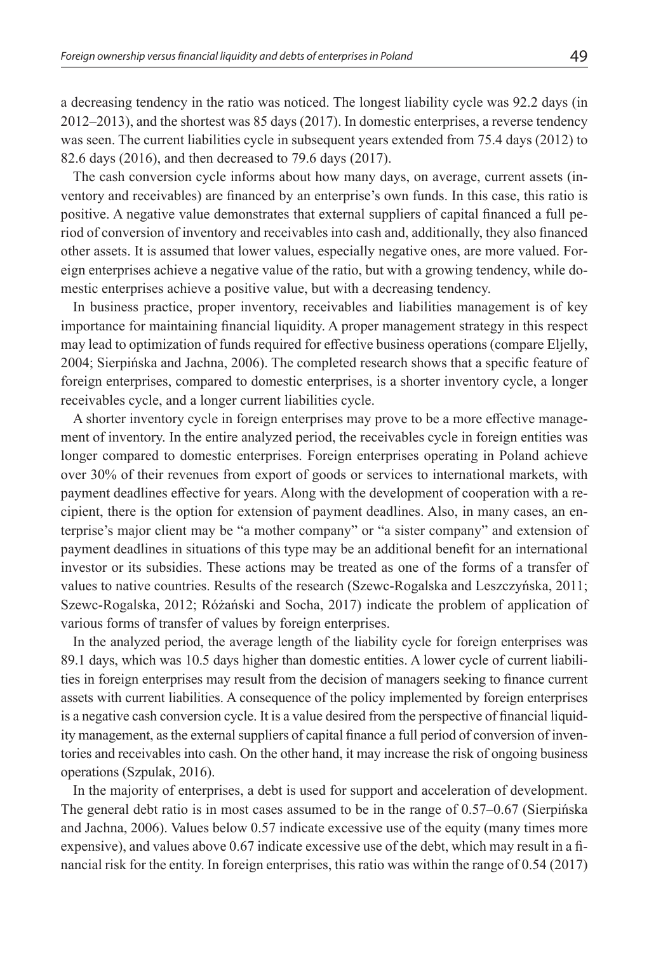a decreasing tendency in the ratio was noticed. The longest liability cycle was 92.2 days (in 2012–2013), and the shortest was 85 days (2017). In domestic enterprises, a reverse tendency was seen. The current liabilities cycle in subsequent years extended from 75.4 days (2012) to 82.6 days (2016), and then decreased to 79.6 days (2017).

The cash conversion cycle informs about how many days, on average, current assets (inventory and receivables) are financed by an enterprise's own funds. In this case, this ratio is positive. A negative value demonstrates that external suppliers of capital financed a full period of conversion of inventory and receivables into cash and, additionally, they also financed other assets. It is assumed that lower values, especially negative ones, are more valued. Foreign enterprises achieve a negative value of the ratio, but with a growing tendency, while domestic enterprises achieve a positive value, but with a decreasing tendency.

In business practice, proper inventory, receivables and liabilities management is of key importance for maintaining financial liquidity. A proper management strategy in this respect may lead to optimization of funds required for effective business operations (compare Eljelly, 2004; Sierpińska and Jachna, 2006). The completed research shows that a specific feature of foreign enterprises, compared to domestic enterprises, is a shorter inventory cycle, a longer receivables cycle, and a longer current liabilities cycle.

A shorter inventory cycle in foreign enterprises may prove to be a more effective management of inventory. In the entire analyzed period, the receivables cycle in foreign entities was longer compared to domestic enterprises. Foreign enterprises operating in Poland achieve over 30% of their revenues from export of goods or services to international markets, with payment deadlines effective for years. Along with the development of cooperation with a recipient, there is the option for extension of payment deadlines. Also, in many cases, an enterprise's major client may be "a mother company" or "a sister company" and extension of payment deadlines in situations of this type may be an additional benefit for an international investor or its subsidies. These actions may be treated as one of the forms of a transfer of values to native countries. Results of the research (Szewc-Rogalska and Leszczyńska, 2011; Szewc-Rogalska, 2012; Różański and Socha, 2017) indicate the problem of application of various forms of transfer of values by foreign enterprises.

In the analyzed period, the average length of the liability cycle for foreign enterprises was 89.1 days, which was 10.5 days higher than domestic entities. A lower cycle of current liabilities in foreign enterprises may result from the decision of managers seeking to finance current assets with current liabilities. A consequence of the policy implemented by foreign enterprises is a negative cash conversion cycle. It is a value desired from the perspective of financial liquidity management, as the external suppliers of capital finance a full period of conversion of inventories and receivables into cash. On the other hand, it may increase the risk of ongoing business operations (Szpulak, 2016).

In the majority of enterprises, a debt is used for support and acceleration of development. The general debt ratio is in most cases assumed to be in the range of 0.57–0.67 (Sierpińska and Jachna, 2006). Values below 0.57 indicate excessive use of the equity (many times more expensive), and values above 0.67 indicate excessive use of the debt, which may result in a financial risk for the entity. In foreign enterprises, this ratio was within the range of 0.54 (2017)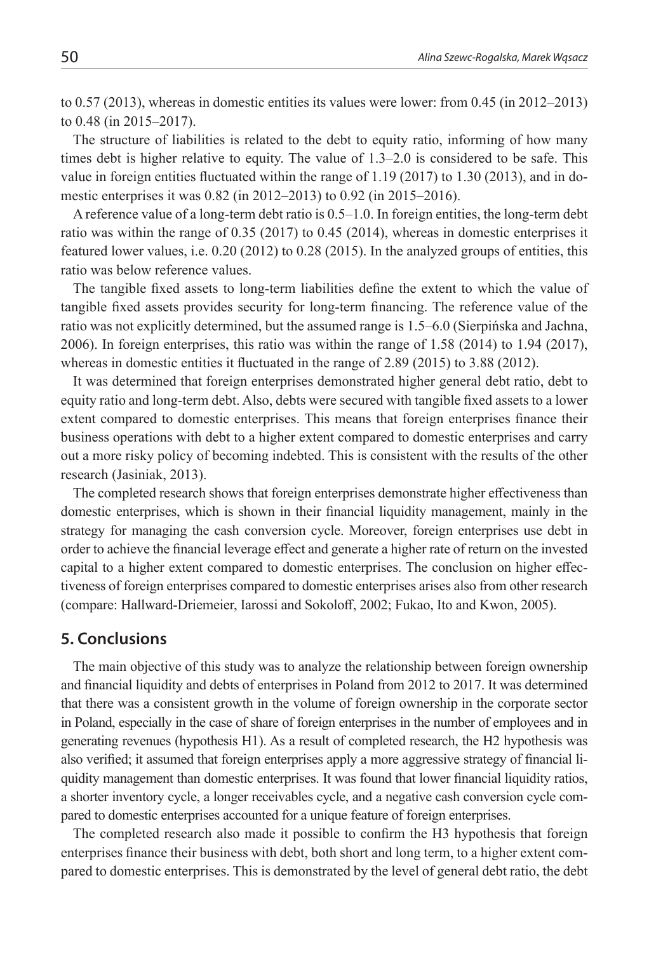to 0.57 (2013), whereas in domestic entities its values were lower: from 0.45 (in 2012–2013) to 0.48 (in 2015–2017).

The structure of liabilities is related to the debt to equity ratio, informing of how many times debt is higher relative to equity. The value of 1.3–2.0 is considered to be safe. This value in foreign entities fluctuated within the range of 1.19 (2017) to 1.30 (2013), and in domestic enterprises it was 0.82 (in 2012–2013) to 0.92 (in 2015–2016).

A reference value of a long-term debt ratio is 0.5–1.0. In foreign entities, the long-term debt ratio was within the range of 0.35 (2017) to 0.45 (2014), whereas in domestic enterprises it featured lower values, i.e. 0.20 (2012) to 0.28 (2015). In the analyzed groups of entities, this ratio was below reference values.

The tangible fixed assets to long-term liabilities define the extent to which the value of tangible fixed assets provides security for long-term financing. The reference value of the ratio was not explicitly determined, but the assumed range is 1.5–6.0 (Sierpińska and Jachna, 2006). In foreign enterprises, this ratio was within the range of 1.58 (2014) to 1.94 (2017), whereas in domestic entities it fluctuated in the range of 2.89 (2015) to 3.88 (2012).

It was determined that foreign enterprises demonstrated higher general debt ratio, debt to equity ratio and long-term debt. Also, debts were secured with tangible fixed assets to a lower extent compared to domestic enterprises. This means that foreign enterprises finance their business operations with debt to a higher extent compared to domestic enterprises and carry out a more risky policy of becoming indebted. This is consistent with the results of the other research (Jasiniak, 2013).

The completed research shows that foreign enterprises demonstrate higher effectiveness than domestic enterprises, which is shown in their financial liquidity management, mainly in the strategy for managing the cash conversion cycle. Moreover, foreign enterprises use debt in order to achieve the financial leverage effect and generate a higher rate of return on the invested capital to a higher extent compared to domestic enterprises. The conclusion on higher effectiveness of foreign enterprises compared to domestic enterprises arises also from other research (compare: Hallward-Driemeier, Iarossi and Sokoloff, 2002; Fukao, Ito and Kwon, 2005).

#### **5. Conclusions**

The main objective of this study was to analyze the relationship between foreign ownership and financial liquidity and debts of enterprises in Poland from 2012 to 2017. It was determined that there was a consistent growth in the volume of foreign ownership in the corporate sector in Poland, especially in the case of share of foreign enterprises in the number of employees and in generating revenues (hypothesis H1). As a result of completed research, the H2 hypothesis was also verified; it assumed that foreign enterprises apply a more aggressive strategy of financial liquidity management than domestic enterprises. It was found that lower financial liquidity ratios, a shorter inventory cycle, a longer receivables cycle, and a negative cash conversion cycle compared to domestic enterprises accounted for a unique feature of foreign enterprises.

The completed research also made it possible to confirm the H3 hypothesis that foreign enterprises finance their business with debt, both short and long term, to a higher extent compared to domestic enterprises. This is demonstrated by the level of general debt ratio, the debt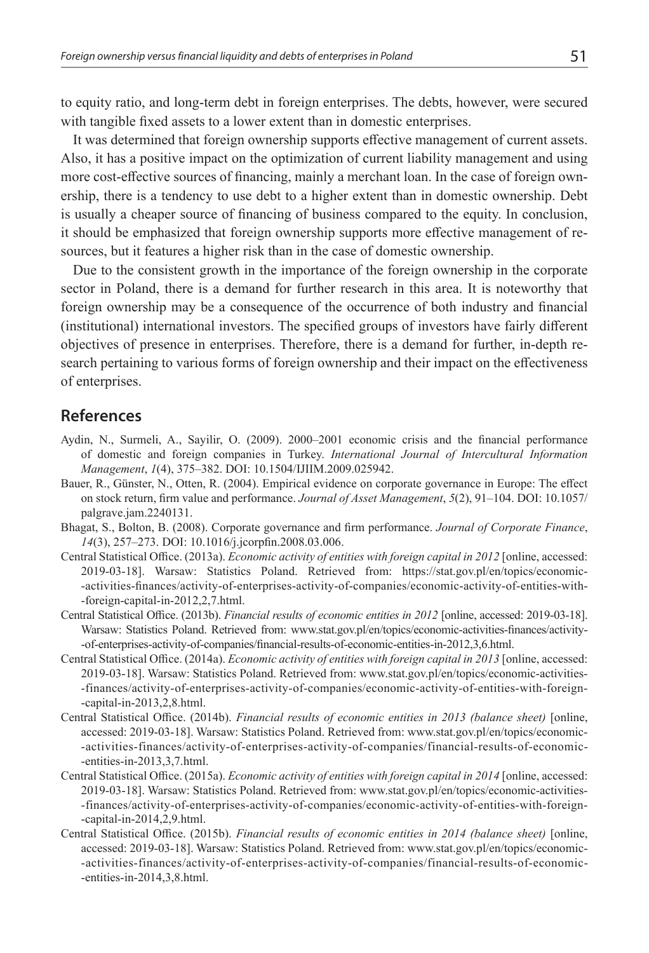to equity ratio, and long-term debt in foreign enterprises. The debts, however, were secured with tangible fixed assets to a lower extent than in domestic enterprises.

It was determined that foreign ownership supports effective management of current assets. Also, it has a positive impact on the optimization of current liability management and using more cost-effective sources of financing, mainly a merchant loan. In the case of foreign ownership, there is a tendency to use debt to a higher extent than in domestic ownership. Debt is usually a cheaper source of financing of business compared to the equity. In conclusion, it should be emphasized that foreign ownership supports more effective management of resources, but it features a higher risk than in the case of domestic ownership.

Due to the consistent growth in the importance of the foreign ownership in the corporate sector in Poland, there is a demand for further research in this area. It is noteworthy that foreign ownership may be a consequence of the occurrence of both industry and financial (institutional) international investors. The specified groups of investors have fairly different objectives of presence in enterprises. Therefore, there is a demand for further, in-depth research pertaining to various forms of foreign ownership and their impact on the effectiveness of enterprises.

#### **References**

- Aydin, N., Surmeli, A., Sayilir, O. (2009). 2000–2001 economic crisis and the financial performance of domestic and foreign companies in Turkey. *International Journal of Intercultural Information Management*, *1*(4), 375–382. DOI: 10.1504/IJIIM.2009.025942.
- Bauer, R., Günster, N., Otten, R. (2004). Empirical evidence on corporate governance in Europe: The effect on stock return, firm value and performance. *Journal of Asset Management*, *5*(2), 91–104. DOI: 10.1057/ palgrave.jam.2240131.
- Bhagat, S., Bolton, B. (2008). Corporate governance and firm performance. *Journal of Corporate Finance*, *14*(3), 257–273. DOI: 10.1016/j.jcorpfin.2008.03.006.
- Central Statistical Office. (2013a). *Economic activity of entities with foreign capital in 2012* [online, accessed: 2019-03-18]. Warsaw: Statistics Poland. Retrieved from: https://stat.gov.pl/en/topics/economic- -activities-finances/activity-of-enterprises-activity-of-companies/economic-activity-of-entities-with- -foreign-capital-in-2012,2,7.html.
- Central Statistical Office. (2013b). *Financial results of economic entities in 2012* [online, accessed: 2019-03-18]. Warsaw: Statistics Poland. Retrieved from: www.stat.gov.pl/en/topics/economic-activities-finances/activity- -of-enterprises-activity-of-companies/financial-results-of-economic-entities-in-2012,3,6.html.
- Central Statistical Office. (2014a). *Economic activity of entities with foreign capital in 2013* [online, accessed: 2019-03-18]. Warsaw: Statistics Poland. Retrieved from: www.stat.gov.pl/en/topics/economic-activities- -finances/activity-of-enterprises-activity-of-companies/economic-activity-of-entities-with-foreign- -capital-in-2013,2,8.html.
- Central Statistical Office. (2014b). *Financial results of economic entities in 2013 (balance sheet)* [online, accessed: 2019-03-18]. Warsaw: Statistics Poland. Retrieved from: www.stat.gov.pl/en/topics/economic- -activities-finances/activity-of-enterprises-activity-of-companies/financial-results-of-economic- -entities-in-2013,3,7.html.
- Central Statistical Office. (2015a). *Economic activity of entities with foreign capital in 2014* [online, accessed: 2019-03-18]. Warsaw: Statistics Poland. Retrieved from: www.stat.gov.pl/en/topics/economic-activities- -finances/activity-of-enterprises-activity-of-companies/economic-activity-of-entities-with-foreign- -capital-in-2014,2,9.html.
- Central Statistical Office. (2015b). *Financial results of economic entities in 2014 (balance sheet)* [online, accessed: 2019-03-18]. Warsaw: Statistics Poland. Retrieved from: www.stat.gov.pl/en/topics/economic- -activities-finances/activity-of-enterprises-activity-of-companies/financial-results-of-economic- -entities-in-2014,3,8.html.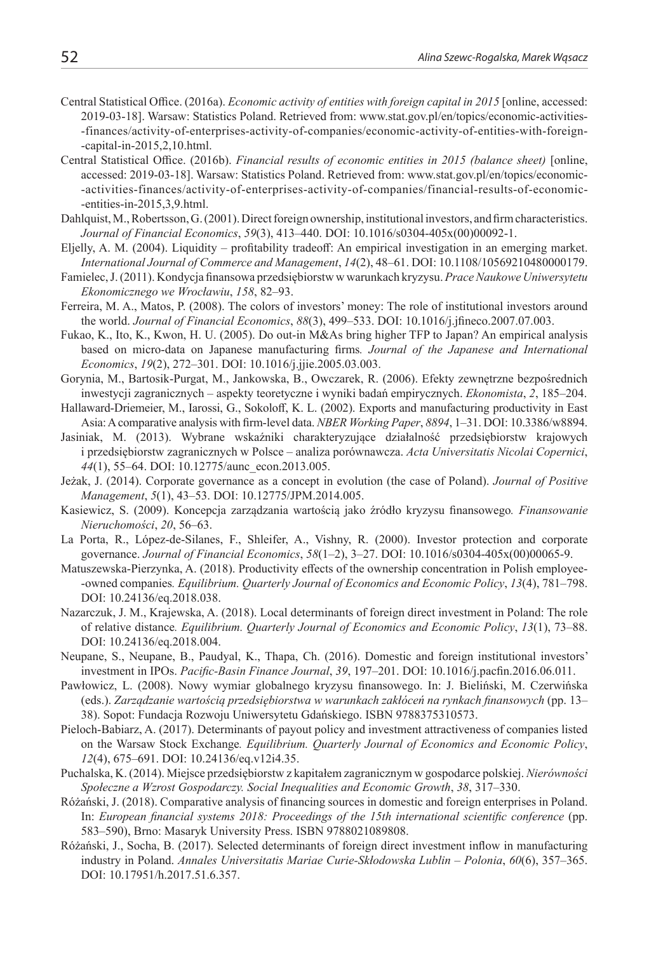- Central Statistical Office. (2016a). *Economic activity of entities with foreign capital in 2015* [online, accessed: 2019-03-18]. Warsaw: Statistics Poland. Retrieved from: www.stat.gov.pl/en/topics/economic-activities- -finances/activity-of-enterprises-activity-of-companies/economic-activity-of-entities-with-foreign- -capital-in-2015,2,10.html.
- Central Statistical Office. (2016b). *Financial results of economic entities in 2015 (balance sheet)* [online, accessed: 2019-03-18]. Warsaw: Statistics Poland. Retrieved from: www.stat.gov.pl/en/topics/economic- -activities-finances/activity-of-enterprises-activity-of-companies/financial-results-of-economic- -entities-in-2015,3,9.html.
- Dahlquist, M., Robertsson, G. (2001). Direct foreign ownership, institutional investors, and firm characteristics. *Journal of Financial Economics*, *59*(3), 413–440. DOI: 10.1016/s0304-405x(00)00092-1.
- Eljelly, A. M. (2004). Liquidity profitability tradeoff: An empirical investigation in an emerging market. *International Journal of Commerce and Management*, *14*(2), 48–61. DOI: 10.1108/10569210480000179.
- Famielec, J. (2011). Kondycja finansowa przedsiębiorstw w warunkach kryzysu. *Prace Naukowe Uniwersytetu Ekonomicznego we Wrocławiu*, *158*, 82–93.
- Ferreira, M. A., Matos, P. (2008). The colors of investors' money: The role of institutional investors around the world. *Journal of Financial Economics*, *88*(3), 499–533. DOI: 10.1016/j.jfineco.2007.07.003.
- Fukao, K., Ito, K., Kwon, H. U. (2005). Do out-in M&As bring higher TFP to Japan? An empirical analysis based on micro-data on Japanese manufacturing firms*. Journal of the Japanese and International Economics*, *19*(2), 272–301. DOI: 10.1016/j.jjie.2005.03.003.
- Gorynia, M., Bartosik-Purgat, M., Jankowska, B., Owczarek, R. (2006). Efekty zewnętrzne bezpośrednich inwestycji zagranicznych – aspekty teoretyczne i wyniki badań empirycznych. *Ekonomista*, *2*, 185–204.
- Hallaward-Driemeier, M., Iarossi, G., Sokoloff, K. L. (2002). Exports and manufacturing productivity in East Asia: A comparative analysis with firm-level data. *NBER Working Paper*, *8894*, 1–31. DOI: 10.3386/w8894.
- Jasiniak, M. (2013). Wybrane wskaźniki charakteryzujące działalność przedsiębiorstw krajowych i przedsiębiorstw zagranicznych w Polsce – analiza porównawcza. *Acta Universitatis Nicolai Copernici*, *44*(1), 55–64. DOI: 10.12775/aunc\_econ.2013.005.
- Jeżak, J. (2014). Corporate governance as a concept in evolution (the case of Poland). *Journal of Positive Management*, *5*(1), 43–53. DOI: 10.12775/JPM.2014.005.
- Kasiewicz, S. (2009). Koncepcja zarządzania wartością jako źródło kryzysu finansowego*. Finansowanie Nieruchomości*, *20*, 56–63.
- La Porta, R., López-de-Silanes, F., Shleifer, A., Vishny, R. (2000). Investor protection and corporate governance. *Journal of Financial Economics*, *58*(1–2), 3–27. DOI: 10.1016/s0304-405x(00)00065-9.
- Matuszewska-Pierzynka, A. (2018). Productivity effects of the ownership concentration in Polish employee- -owned companies*. Equilibrium. Quarterly Journal of Economics and Economic Policy*, *13*(4), 781–798. DOI: 10.24136/eq.2018.038.
- Nazarczuk, J. M., Krajewska, A. (2018). Local determinants of foreign direct investment in Poland: The role of relative distance*. Equilibrium. Quarterly Journal of Economics and Economic Policy*, *13*(1), 73–88. DOI: 10.24136/eq.2018.004.
- Neupane, S., Neupane, B., Paudyal, K., Thapa, Ch. (2016). Domestic and foreign institutional investors' investment in IPOs. *Pacific-Basin Finance Journal*, *39*, 197–201. DOI: 10.1016/j.pacfin.2016.06.011.
- Pawłowicz, L. (2008). Nowy wymiar globalnego kryzysu finansowego. In: J. Bieliński, M. Czerwińska (eds.). *Zarządzanie wartością przedsiębiorstwa w warunkach zakłóceń na rynkach finansowych* (pp. 13– 38). Sopot: Fundacja Rozwoju Uniwersytetu Gdańskiego. ISBN 9788375310573.
- Pieloch-Babiarz, A. (2017). Determinants of payout policy and investment attractiveness of companies listed on the Warsaw Stock Exchange*. Equilibrium. Quarterly Journal of Economics and Economic Policy*, *12*(4), 675–691. DOI: 10.24136/eq.v12i4.35.
- Puchalska, K. (2014). Miejsce przedsiębiorstw z kapitałem zagranicznym w gospodarce polskiej. *Nierówności Społeczne a Wzrost Gospodarczy. Social Inequalities and Economic Growth*, *38*, 317–330.
- Różański, J. (2018). Comparative analysis of financing sources in domestic and foreign enterprises in Poland. In: *European financial systems 2018: Proceedings of the 15th international scientific conference* (pp. 583–590), Brno: Masaryk University Press. ISBN 9788021089808.
- Różański, J., Socha, B. (2017). Selected determinants of foreign direct investment inflow in manufacturing industry in Poland. *Annales Universitatis Mariae Curie-Skłodowska Lublin – Polonia*, *60*(6), 357–365. DOI: 10.17951/h.2017.51.6.357.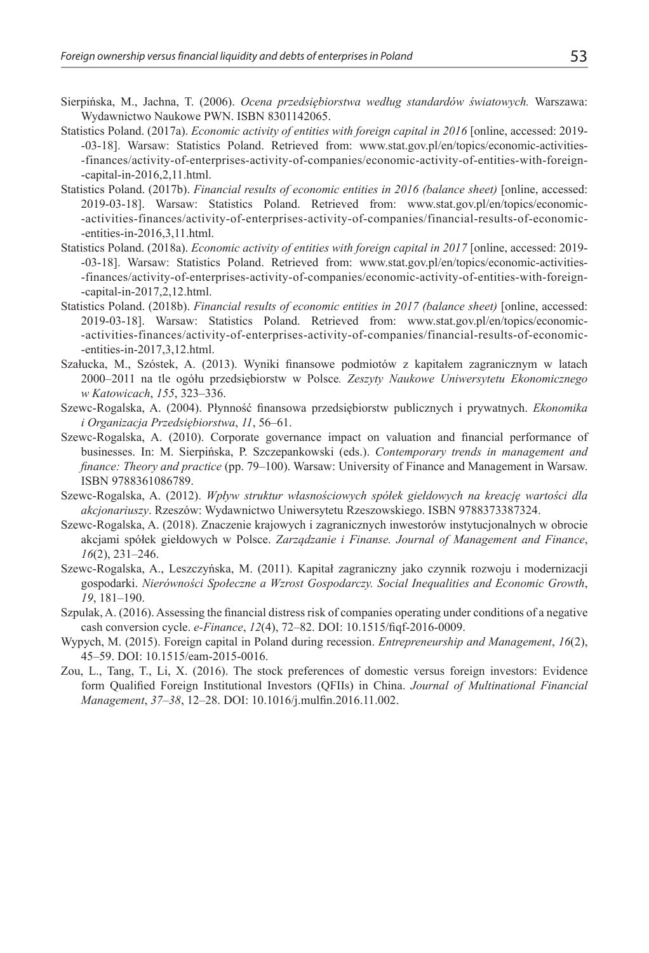- Sierpińska, M., Jachna, T. (2006). *Ocena przedsiębiorstwa według standardów światowych.* Warszawa: Wydawnictwo Naukowe PWN. ISBN 8301142065.
- Statistics Poland. (2017a). *Economic activity of entities with foreign capital in 2016* [online, accessed: 2019--03-18]. Warsaw: Statistics Poland. Retrieved from: www.stat.gov.pl/en/topics/economic-activities- -finances/activity-of-enterprises-activity-of-companies/economic-activity-of-entities-with-foreign- -capital-in-2016,2,11.html.
- Statistics Poland. (2017b). *Financial results of economic entities in 2016 (balance sheet)* [online, accessed: 2019-03-18]. Warsaw: Statistics Poland. Retrieved from: www.stat.gov.pl/en/topics/economic- -activities-finances/activity-of-enterprises-activity-of-companies/financial-results-of-economic- -entities-in-2016,3,11.html.
- Statistics Poland. (2018a). *Economic activity of entities with foreign capital in 2017* [online, accessed: 2019- -03-18]. Warsaw: Statistics Poland. Retrieved from: www.stat.gov.pl/en/topics/economic-activities- -finances/activity-of-enterprises-activity-of-companies/economic-activity-of-entities-with-foreign- -capital-in-2017,2,12.html.
- Statistics Poland. (2018b). *Financial results of economic entities in 2017 (balance sheet)* [online, accessed: 2019-03-18]. Warsaw: Statistics Poland. Retrieved from: www.stat.gov.pl/en/topics/economic- -activities-finances/activity-of-enterprises-activity-of-companies/financial-results-of-economic- -entities-in-2017,3,12.html.
- Szałucka, M., Szóstek, A. (2013). Wyniki finansowe podmiotów z kapitałem zagranicznym w latach 2000–2011 na tle ogółu przedsiębiorstw w Polsce*. Zeszyty Naukowe Uniwersytetu Ekonomicznego w Katowicach*, *155*, 323–336.
- Szewc-Rogalska, A. (2004). Płynność finansowa przedsiębiorstw publicznych i prywatnych. *Ekonomika i Organizacja Przedsiębiorstwa*, *11*, 56–61.
- Szewc-Rogalska, A. (2010). Corporate governance impact on valuation and financial performance of businesses. In: M. Sierpińska, P. Szczepankowski (eds.). *Contemporary trends in management and finance: Theory and practice* (pp. 79–100). Warsaw: University of Finance and Management in Warsaw. ISBN 9788361086789.
- Szewc-Rogalska, A. (2012). *Wpływ struktur własnościowych spółek giełdowych na kreację wartości dla akcjonariuszy*. Rzeszów: Wydawnictwo Uniwersytetu Rzeszowskiego. ISBN 9788373387324.
- Szewc-Rogalska, A. (2018). Znaczenie krajowych i zagranicznych inwestorów instytucjonalnych w obrocie akcjami spółek giełdowych w Polsce. *Zarządzanie i Finanse. Journal of Management and Finance*, *16*(2), 231–246.
- Szewc-Rogalska, A., Leszczyńska, M. (2011). Kapitał zagraniczny jako czynnik rozwoju i modernizacji gospodarki. *Nierówności Społeczne a Wzrost Gospodarczy. Social Inequalities and Economic Growth*, *19*, 181–190.
- Szpulak, A. (2016). Assessing the financial distress risk of companies operating under conditions of a negative cash conversion cycle. *e-Finance*, *12*(4), 72–82. DOI: 10.1515/fiqf-2016-0009.
- Wypych, M. (2015). Foreign capital in Poland during recession. *Entrepreneurship and Management*, *16*(2), 45–59. DOI: 10.1515/eam-2015-0016.
- Zou, L., Tang, T., Li, X. (2016). The stock preferences of domestic versus foreign investors: Evidence form Qualified Foreign Institutional Investors (QFIIs) in China. *Journal of Multinational Financial Management*, *37–38*, 12–28. DOI: 10.1016/j.mulfin.2016.11.002.